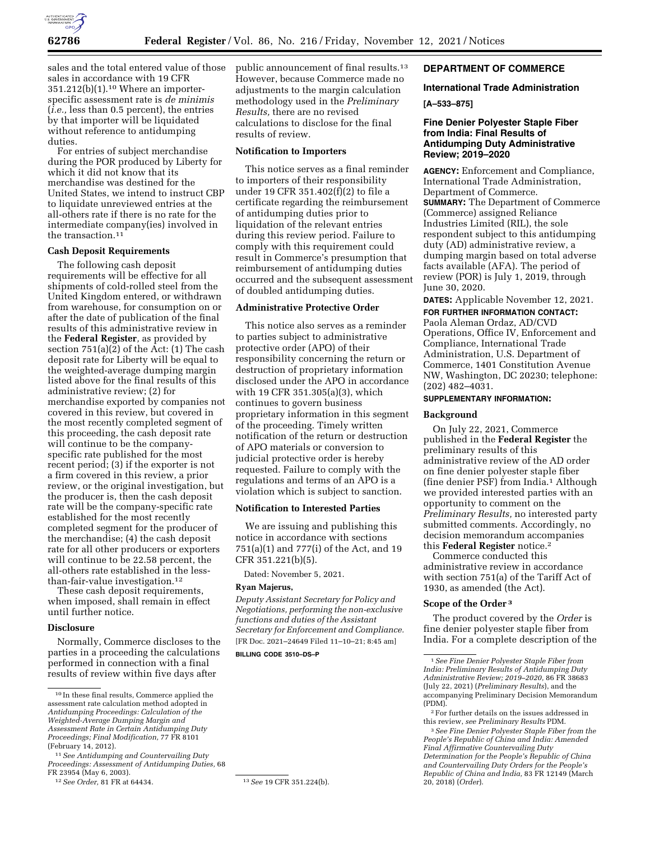

sales and the total entered value of those sales in accordance with 19 CFR 351.212(b)(1).10 Where an importerspecific assessment rate is *de minimis*  (*i.e.,* less than 0.5 percent), the entries by that importer will be liquidated without reference to antidumping duties.

For entries of subject merchandise during the POR produced by Liberty for which it did not know that its merchandise was destined for the United States, we intend to instruct CBP to liquidate unreviewed entries at the all-others rate if there is no rate for the intermediate company(ies) involved in the transaction.11

### **Cash Deposit Requirements**

The following cash deposit requirements will be effective for all shipments of cold-rolled steel from the United Kingdom entered, or withdrawn from warehouse, for consumption on or after the date of publication of the final results of this administrative review in the **Federal Register***,* as provided by section 751(a)(2) of the Act: (1) The cash deposit rate for Liberty will be equal to the weighted-average dumping margin listed above for the final results of this administrative review; (2) for merchandise exported by companies not covered in this review, but covered in the most recently completed segment of this proceeding, the cash deposit rate will continue to be the companyspecific rate published for the most recent period; (3) if the exporter is not a firm covered in this review, a prior review, or the original investigation, but the producer is, then the cash deposit rate will be the company-specific rate established for the most recently completed segment for the producer of the merchandise; (4) the cash deposit rate for all other producers or exporters will continue to be 22.58 percent, the all-others rate established in the lessthan-fair-value investigation.12

These cash deposit requirements, when imposed, shall remain in effect until further notice.

### **Disclosure**

Normally, Commerce discloses to the parties in a proceeding the calculations performed in connection with a final results of review within five days after

11*See Antidumping and Countervailing Duty Proceedings: Assessment of Antidumping Duties,* 68 FR 23954 (May 6, 2003).

12*See Order,* 81 FR at 64434. 13*See* 19 CFR 351.224(b).

public announcement of final results.13 However, because Commerce made no adjustments to the margin calculation methodology used in the *Preliminary Results,* there are no revised calculations to disclose for the final results of review.

## **Notification to Importers**

This notice serves as a final reminder to importers of their responsibility under 19 CFR 351.402(f)(2) to file a certificate regarding the reimbursement of antidumping duties prior to liquidation of the relevant entries during this review period. Failure to comply with this requirement could result in Commerce's presumption that reimbursement of antidumping duties occurred and the subsequent assessment of doubled antidumping duties.

### **Administrative Protective Order**

This notice also serves as a reminder to parties subject to administrative protective order (APO) of their responsibility concerning the return or destruction of proprietary information disclosed under the APO in accordance with 19 CFR 351.305(a)(3), which continues to govern business proprietary information in this segment of the proceeding. Timely written notification of the return or destruction of APO materials or conversion to judicial protective order is hereby requested. Failure to comply with the regulations and terms of an APO is a violation which is subject to sanction.

### **Notification to Interested Parties**

We are issuing and publishing this notice in accordance with sections 751(a)(1) and 777(i) of the Act, and 19 CFR 351.221(b)(5).

Dated: November 5, 2021.

#### **Ryan Majerus,**

*Deputy Assistant Secretary for Policy and Negotiations, performing the non-exclusive functions and duties of the Assistant Secretary for Enforcement and Compliance.*  [FR Doc. 2021–24649 Filed 11–10–21; 8:45 am]

**BILLING CODE 3510–DS–P** 

## **DEPARTMENT OF COMMERCE**

## **International Trade Administration**

#### **[A–533–875]**

### **Fine Denier Polyester Staple Fiber from India: Final Results of Antidumping Duty Administrative Review; 2019–2020**

**AGENCY:** Enforcement and Compliance, International Trade Administration, Department of Commerce. **SUMMARY:** The Department of Commerce (Commerce) assigned Reliance Industries Limited (RIL), the sole respondent subject to this antidumping duty (AD) administrative review, a dumping margin based on total adverse facts available (AFA). The period of review (POR) is July 1, 2019, through June 30, 2020.

**DATES:** Applicable November 12, 2021.

# **FOR FURTHER INFORMATION CONTACT:**

Paola Aleman Ordaz, AD/CVD Operations, Office IV, Enforcement and Compliance, International Trade Administration, U.S. Department of Commerce, 1401 Constitution Avenue NW, Washington, DC 20230; telephone: (202) 482–4031.

# **SUPPLEMENTARY INFORMATION:**

#### **Background**

On July 22, 2021, Commerce published in the **Federal Register** the preliminary results of this administrative review of the AD order on fine denier polyester staple fiber (fine denier PSF) from India.1 Although we provided interested parties with an opportunity to comment on the *Preliminary Results,* no interested party submitted comments. Accordingly, no decision memorandum accompanies this **Federal Register** notice.2

Commerce conducted this administrative review in accordance with section 751(a) of the Tariff Act of 1930, as amended (the Act).

#### **Scope of the Order 3**

The product covered by the *Order* is fine denier polyester staple fiber from India. For a complete description of the

<sup>10</sup> In these final results, Commerce applied the assessment rate calculation method adopted in *Antidumping Proceedings: Calculation of the Weighted-Average Dumping Margin and Assessment Rate in Certain Antidumping Duty Proceedings; Final Modification,* 77 FR 8101 (February 14, 2012).

<sup>1</sup>*See Fine Denier Polyester Staple Fiber from India: Preliminary Results of Antidumping Duty Administrative Review; 2019–2020,* 86 FR 38683 (July 22, 2021) (*Preliminary Results*), and the accompanying Preliminary Decision Memorandum (PDM).

<sup>2</sup>For further details on the issues addressed in this review, *see Preliminary Results* PDM.

<sup>3</sup>*See Fine Denier Polyester Staple Fiber from the People's Republic of China and India: Amended Final Affirmative Countervailing Duty Determination for the People's Republic of China and Countervailing Duty Orders for the People's Republic of China and India,* 83 FR 12149 (March 20, 2018) (*Order*).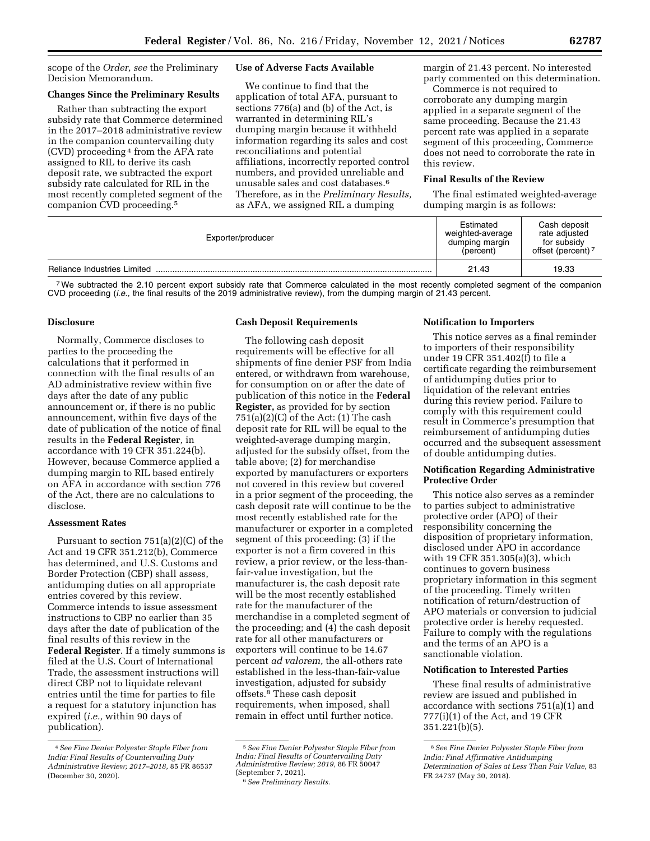scope of the *Order, see* the Preliminary Decision Memorandum.

# **Changes Since the Preliminary Results**

Rather than subtracting the export subsidy rate that Commerce determined in the 2017–2018 administrative review in the companion countervailing duty (CVD) proceeding 4 from the AFA rate assigned to RIL to derive its cash deposit rate, we subtracted the export subsidy rate calculated for RIL in the most recently completed segment of the companion CVD proceeding.5

## **Use of Adverse Facts Available**

We continue to find that the application of total AFA, pursuant to sections 776(a) and (b) of the Act, is warranted in determining RIL's dumping margin because it withheld information regarding its sales and cost reconciliations and potential affiliations, incorrectly reported control numbers, and provided unreliable and unusable sales and cost databases.6 Therefore, as in the *Preliminary Results,*  as AFA, we assigned RIL a dumping

margin of 21.43 percent. No interested party commented on this determination.

Commerce is not required to corroborate any dumping margin applied in a separate segment of the same proceeding. Because the 21.43 percent rate was applied in a separate segment of this proceeding, Commerce does not need to corroborate the rate in this review.

### **Final Results of the Review**

The final estimated weighted-average dumping margin is as follows:

| Exporter/producer           | Estimated<br>weighted-average<br>dumping margin<br>(percent) | Cash deposit<br>rate adiusted<br>for subsidy<br>offset (percent) <sup>7</sup> |
|-----------------------------|--------------------------------------------------------------|-------------------------------------------------------------------------------|
| Reliance Industries Limited | 21.43                                                        | 19.33                                                                         |

<sup>7</sup>We subtracted the 2.10 percent export subsidy rate that Commerce calculated in the most recently completed segment of the companion CVD proceeding (*i.e.,* the final results of the 2019 administrative review), from the dumping margin of 21.43 percent.

## **Disclosure**

Normally, Commerce discloses to parties to the proceeding the calculations that it performed in connection with the final results of an AD administrative review within five days after the date of any public announcement or, if there is no public announcement, within five days of the date of publication of the notice of final results in the **Federal Register***,* in accordance with 19 CFR 351.224(b). However, because Commerce applied a dumping margin to RIL based entirely on AFA in accordance with section 776 of the Act, there are no calculations to disclose.

## **Assessment Rates**

Pursuant to section 751(a)(2)(C) of the Act and 19 CFR 351.212(b), Commerce has determined, and U.S. Customs and Border Protection (CBP) shall assess, antidumping duties on all appropriate entries covered by this review. Commerce intends to issue assessment instructions to CBP no earlier than 35 days after the date of publication of the final results of this review in the **Federal Register**. If a timely summons is filed at the U.S. Court of International Trade, the assessment instructions will direct CBP not to liquidate relevant entries until the time for parties to file a request for a statutory injunction has expired (*i.e.,* within 90 days of publication).

### **Cash Deposit Requirements**

The following cash deposit requirements will be effective for all shipments of fine denier PSF from India entered, or withdrawn from warehouse, for consumption on or after the date of publication of this notice in the **Federal Register,** as provided for by section  $751(a)(2)(C)$  of the Act:  $(1)$  The cash deposit rate for RIL will be equal to the weighted-average dumping margin, adjusted for the subsidy offset, from the table above; (2) for merchandise exported by manufacturers or exporters not covered in this review but covered in a prior segment of the proceeding, the cash deposit rate will continue to be the most recently established rate for the manufacturer or exporter in a completed segment of this proceeding; (3) if the exporter is not a firm covered in this review, a prior review, or the less-thanfair-value investigation, but the manufacturer is, the cash deposit rate will be the most recently established rate for the manufacturer of the merchandise in a completed segment of the proceeding; and (4) the cash deposit rate for all other manufacturers or exporters will continue to be 14.67 percent *ad valorem,* the all-others rate established in the less-than-fair-value investigation, adjusted for subsidy offsets.8 These cash deposit requirements, when imposed, shall remain in effect until further notice.

#### $6$  See Preliminary Results.

#### **Notification to Importers**

This notice serves as a final reminder to importers of their responsibility under 19 CFR 351.402(f) to file a certificate regarding the reimbursement of antidumping duties prior to liquidation of the relevant entries during this review period. Failure to comply with this requirement could result in Commerce's presumption that reimbursement of antidumping duties occurred and the subsequent assessment of double antidumping duties.

#### **Notification Regarding Administrative Protective Order**

This notice also serves as a reminder to parties subject to administrative protective order (APO) of their responsibility concerning the disposition of proprietary information, disclosed under APO in accordance with 19 CFR 351.305(a)(3), which continues to govern business proprietary information in this segment of the proceeding. Timely written notification of return/destruction of APO materials or conversion to judicial protective order is hereby requested. Failure to comply with the regulations and the terms of an APO is a sanctionable violation.

#### **Notification to Interested Parties**

These final results of administrative review are issued and published in accordance with sections 751(a)(1) and 777(i)(1) of the Act, and 19 CFR 351.221(b)(5).

<sup>4</sup>*See Fine Denier Polyester Staple Fiber from India: Final Results of Countervailing Duty Administrative Review; 2017–2018,* 85 FR 86537 (December 30, 2020).

<sup>5</sup>*See Fine Denier Polyester Staple Fiber from India: Final Results of Countervailing Duty Administrative Review; 2019,* 86 FR 50047

<sup>8</sup>*See Fine Denier Polyester Staple Fiber from India: Final Affirmative Antidumping Determination of Sales at Less Than Fair Value,* 83 FR 24737 (May 30, 2018).